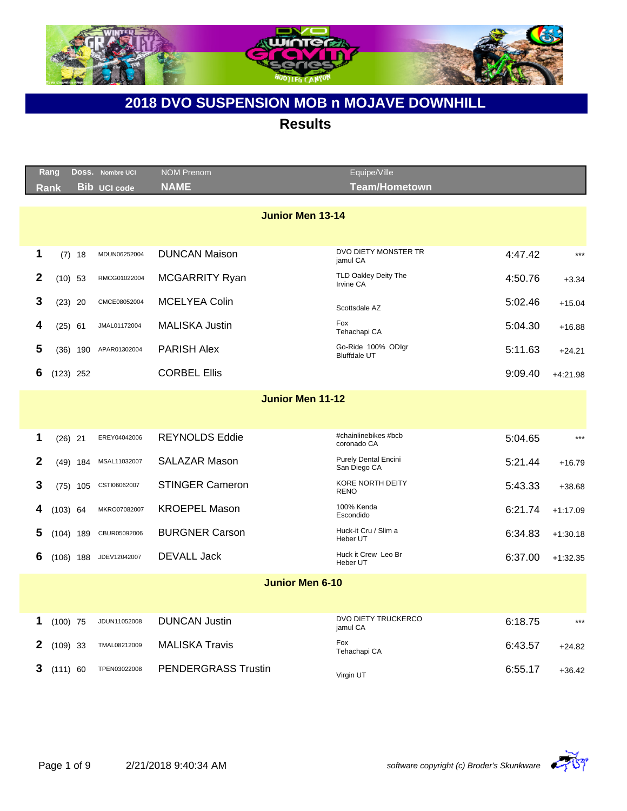

|              | Rang       |             | Doss. Nombre UCI    | <b>NOM Prenom</b>          | Equipe/Ville                                |         |            |
|--------------|------------|-------------|---------------------|----------------------------|---------------------------------------------|---------|------------|
|              | Rank       |             | <b>Bib UCI code</b> | <b>NAME</b>                | <b>Team/Hometown</b>                        |         |            |
|              |            |             |                     | <b>Junior Men 13-14</b>    | DVO DIETY MONSTER TR                        |         |            |
| 1            |            | $(7)$ 18    | MDUN06252004        | <b>DUNCAN Maison</b>       | jamul CA                                    | 4:47.42 | $***$      |
| $\mathbf{2}$ |            | $(10)$ 53   | RMCG01022004        | <b>MCGARRITY Ryan</b>      | TLD Oakley Deity The<br>Irvine CA           | 4:50.76 | $+3.34$    |
| 3            |            | $(23)$ 20   | CMCE08052004        | <b>MCELYEA Colin</b>       | Scottsdale AZ                               | 5:02.46 | $+15.04$   |
| 4            |            | $(25)$ 61   | JMAL01172004        | <b>MALISKA Justin</b>      | Fox<br>Tehachapi CA                         | 5:04.30 | $+16.88$   |
| 5            |            | $(36)$ 190  | APAR01302004        | <b>PARISH Alex</b>         | Go-Ride 100% ODIgr<br><b>Bluffdale UT</b>   | 5:11.63 | $+24.21$   |
| 6            |            | $(123)$ 252 |                     | <b>CORBEL Ellis</b>        |                                             | 9:09.40 | $+4:21.98$ |
|              |            |             |                     | <b>Junior Men 11-12</b>    |                                             |         |            |
|              |            |             |                     |                            |                                             |         |            |
| 1            |            | $(26)$ 21   | EREY04042006        | <b>REYNOLDS Eddie</b>      | #chainlinebikes #bcb<br>coronado CA         | 5:04.65 | $***$      |
| $\mathbf{2}$ |            | $(49)$ 184  | MSAL11032007        | SALAZAR Mason              | <b>Purely Dental Encini</b><br>San Diego CA | 5:21.44 | $+16.79$   |
| 3            |            | $(75)$ 105  | CSTI06062007        | <b>STINGER Cameron</b>     | <b>KORE NORTH DEITY</b><br><b>RENO</b>      | 5:43.33 | $+38.68$   |
| 4            | $(103)$ 64 |             | MKRO07082007        | <b>KROEPEL Mason</b>       | 100% Kenda<br>Escondido                     | 6:21.74 | $+1:17.09$ |
| 5            |            | $(104)$ 189 | CBUR05092006        | <b>BURGNER Carson</b>      | Huck-it Cru / Slim a<br>Heber UT            | 6:34.83 | $+1:30.18$ |
| 6            |            | $(106)$ 188 | JDEV12042007        | <b>DEVALL Jack</b>         | Huck it Crew Leo Br<br>Heber UT             | 6:37.00 | $+1:32.35$ |
|              |            |             |                     | <b>Junior Men 6-10</b>     |                                             |         |            |
|              |            |             |                     |                            |                                             |         |            |
| 1            | $(100)$ 75 |             | JDUN11052008        | <b>DUNCAN Justin</b>       | DVO DIETY TRUCKERCO<br>jamul CA             | 6:18.75 | $***$      |
| 2            | $(109)$ 33 |             | TMAL08212009        | <b>MALISKA Travis</b>      | Fox<br>Tehachapi CA                         | 6:43.57 | $+24.82$   |
| 3            | (111) 60   |             | TPEN03022008        | <b>PENDERGRASS Trustin</b> | Virgin UT                                   | 6:55.17 | $+36.42$   |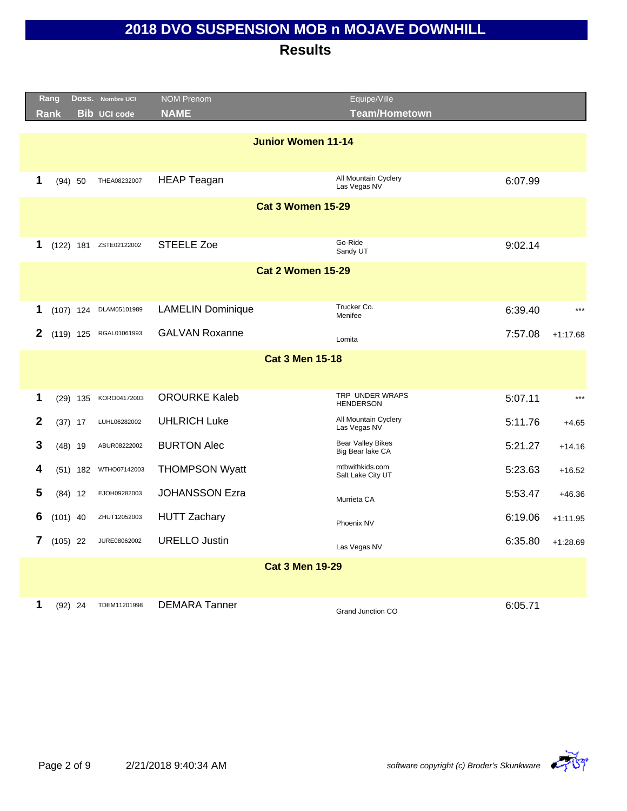|                           | Rang       |            | Doss. Nombre UCI       | <b>NOM Prenom</b>        | Equipe/Ville                                 |         |            |
|---------------------------|------------|------------|------------------------|--------------------------|----------------------------------------------|---------|------------|
|                           | Rank       |            | <b>Bib UCI code</b>    | <b>NAME</b>              | <b>Team/Hometown</b>                         |         |            |
| <b>Junior Women 11-14</b> |            |            |                        |                          |                                              |         |            |
|                           |            |            |                        |                          |                                              |         |            |
| 1                         |            | (94) 50    | THEA08232007           | <b>HEAP Teagan</b>       | All Mountain Cyclery<br>Las Vegas NV         | 6:07.99 |            |
|                           |            |            |                        | <b>Cat 3 Women 15-29</b> |                                              |         |            |
|                           |            |            |                        |                          |                                              |         |            |
| 1                         |            |            | (122) 181 ZSTE02122002 | <b>STEELE Zoe</b>        | Go-Ride<br>Sandy UT                          | 9:02.14 |            |
|                           |            |            |                        | <b>Cat 2 Women 15-29</b> |                                              |         |            |
|                           |            |            |                        |                          |                                              |         |            |
| 1                         |            |            | (107) 124 DLAM05101989 | <b>LAMELIN Dominique</b> | Trucker Co.<br>Menifee                       | 6:39.40 | $***$      |
| 2                         |            |            | (119) 125 RGAL01061993 | <b>GALVAN Roxanne</b>    | Lomita                                       | 7:57.08 | $+1:17.68$ |
|                           |            |            |                        | <b>Cat 3 Men 15-18</b>   |                                              |         |            |
|                           |            |            |                        |                          |                                              |         |            |
| 1                         |            | $(29)$ 135 | KORO04172003           | <b>OROURKE Kaleb</b>     | TRP UNDER WRAPS<br><b>HENDERSON</b>          | 5:07.11 | $***$      |
| $\mathbf{2}$              |            | $(37)$ 17  | LUHL06282002           | <b>UHLRICH Luke</b>      | All Mountain Cyclery<br>Las Vegas NV         | 5:11.76 | $+4.65$    |
| 3                         |            | $(48)$ 19  | ABUR08222002           | <b>BURTON Alec</b>       | <b>Bear Valley Bikes</b><br>Big Bear lake CA | 5:21.27 | $+14.16$   |
| 4                         |            | $(51)$ 182 | WTHO07142003           | <b>THOMPSON Wyatt</b>    | mtbwithkids.com<br>Salt Lake City UT         | 5:23.63 | $+16.52$   |
| 5                         |            | $(84)$ 12  | EJOH09282003           | <b>JOHANSSON Ezra</b>    | Murrieta CA                                  | 5:53.47 | $+46.36$   |
| 6                         | $(101)$ 40 |            | ZHUT12052003           | <b>HUTT Zachary</b>      | Phoenix NV                                   | 6:19.06 | $+1:11.95$ |
| 7                         | $(105)$ 22 |            | JURE08062002           | <b>URELLO Justin</b>     | Las Vegas NV                                 | 6:35.80 | $+1:28.69$ |
|                           |            |            |                        | <b>Cat 3 Men 19-29</b>   |                                              |         |            |
|                           |            |            |                        |                          |                                              |         |            |
| 1                         |            | $(92)$ 24  | TDEM11201998           | <b>DEMARA Tanner</b>     | Grand Junction CO                            | 6:05.71 |            |

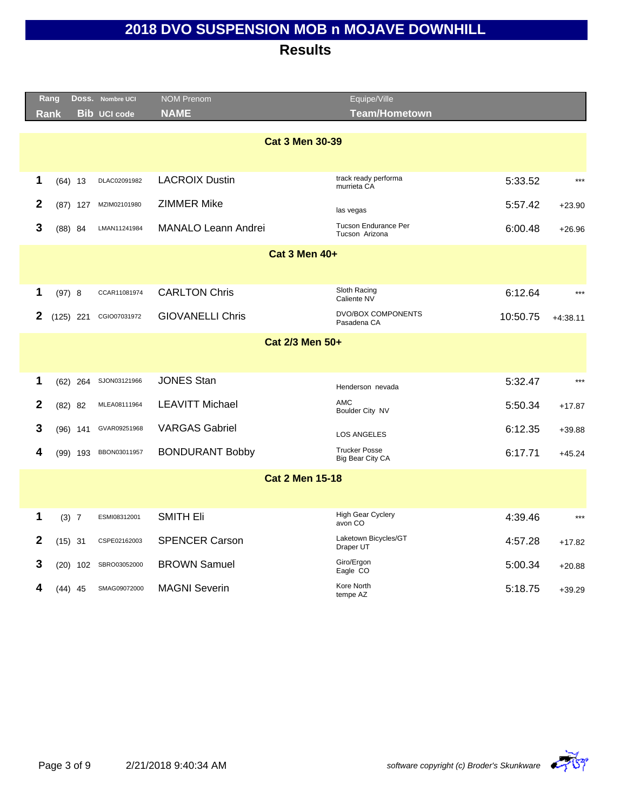|              | Rang        |            | DOSS. Nombre UCI    | <b>NOM Prenom</b>          | Equipe/Ville                             |          |            |
|--------------|-------------|------------|---------------------|----------------------------|------------------------------------------|----------|------------|
|              | <b>Rank</b> |            | <b>Bib UCI code</b> | <b>NAME</b>                | <b>Team/Hometown</b>                     |          |            |
|              |             |            |                     |                            |                                          |          |            |
|              |             |            |                     | <b>Cat 3 Men 30-39</b>     |                                          |          |            |
|              |             |            |                     |                            |                                          |          |            |
| 1            |             | $(64)$ 13  | DLAC02091982        | <b>LACROIX Dustin</b>      | track ready performa<br>murrieta CA      | 5:33.52  | $***$      |
| $\mathbf{2}$ |             | $(87)$ 127 | MZIM02101980        | <b>ZIMMER Mike</b>         | las vegas                                | 5:57.42  | $+23.90$   |
| 3            |             | $(88)$ 84  | LMAN11241984        | <b>MANALO Leann Andrei</b> | Tucson Endurance Per<br>Tucson Arizona   | 6:00.48  | $+26.96$   |
|              |             |            |                     | <b>Cat 3 Men 40+</b>       |                                          |          |            |
|              |             |            |                     |                            |                                          |          |            |
| 1            |             |            | CCAR11081974        | <b>CARLTON Chris</b>       | Sloth Racing                             |          | $***$      |
|              | (97) 8      |            |                     |                            | Caliente NV                              | 6:12.64  |            |
| 2            | $(125)$ 221 |            | CGIO07031972        | <b>GIOVANELLI Chris</b>    | <b>DVO/BOX COMPONENTS</b><br>Pasadena CA | 10:50.75 | $+4:38.11$ |
|              |             |            |                     | Cat 2/3 Men 50+            |                                          |          |            |
|              |             |            |                     |                            |                                          |          |            |
| 1            |             | $(62)$ 264 | SJON03121966        | <b>JONES Stan</b>          | Henderson nevada                         | 5:32.47  | $***$      |
| $\mathbf{2}$ |             | $(82)$ 82  | MLEA08111964        | <b>LEAVITT Michael</b>     | <b>AMC</b><br>Boulder City NV            | 5:50.34  | $+17.87$   |
| 3            |             | $(96)$ 141 | GVAR09251968        | <b>VARGAS Gabriel</b>      | <b>LOS ANGELES</b>                       | 6:12.35  | $+39.88$   |
| 4            |             | $(99)$ 193 | BBON03011957        | <b>BONDURANT Bobby</b>     | <b>Trucker Posse</b>                     | 6:17.71  | $+45.24$   |
|              |             |            |                     |                            | Big Bear City CA                         |          |            |
|              |             |            |                     | <b>Cat 2 Men 15-18</b>     |                                          |          |            |
|              |             |            |                     |                            |                                          |          |            |
| 1            | (3) 7       |            | ESMI08312001        | <b>SMITH Eli</b>           | <b>High Gear Cyclery</b><br>avon CO      | 4:39.46  | $***$      |
| 2            | $(15)$ 31   |            | CSPE02162003        | <b>SPENCER Carson</b>      | Laketown Bicycles/GT<br>Draper UT        | 4:57.28  | $+17.82$   |
| 3            |             | $(20)$ 102 | SBRO03052000        | <b>BROWN Samuel</b>        | Giro/Ergon<br>Eagle CO                   | 5:00.34  | $+20.88$   |
| 4            |             | (44) 45    | SMAG09072000        | <b>MAGNI Severin</b>       | Kore North<br>tempe AZ                   | 5:18.75  | $+39.29$   |

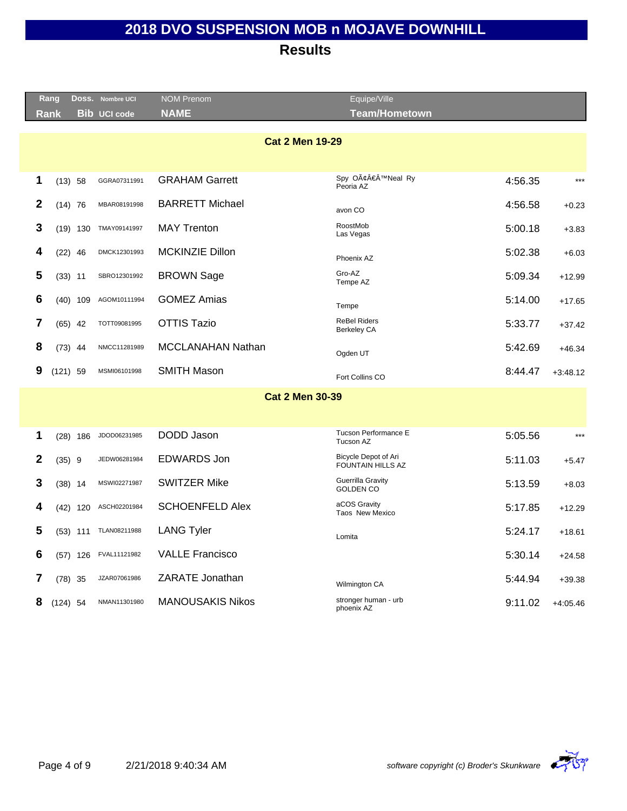**Results**

|                        | Rang       |            | Doss. Nombre UCI    | <b>NOM Prenom</b>        | Equipe/Ville                              |         |            |  |  |  |
|------------------------|------------|------------|---------------------|--------------------------|-------------------------------------------|---------|------------|--|--|--|
|                        | Rank       |            | <b>Bib UCI code</b> | <b>NAME</b>              | <b>Team/Hometown</b>                      |         |            |  |  |  |
| <b>Cat 2 Men 19-29</b> |            |            |                     |                          |                                           |         |            |  |  |  |
| 1                      | $(13)$ 58  |            | GGRA07311991        | <b>GRAHAM Garrett</b>    | Spy O'Neal Ry<br>Peoria AZ                | 4:56.35 | $***$      |  |  |  |
| 2                      | $(14)$ 76  |            | MBAR08191998        | <b>BARRETT Michael</b>   | avon CO                                   | 4:56.58 | $+0.23$    |  |  |  |
| 3                      |            | $(19)$ 130 | TMAY09141997        | <b>MAY Trenton</b>       | RoostMob<br>Las Vegas                     | 5:00.18 | $+3.83$    |  |  |  |
| 4                      | $(22)$ 46  |            | DMCK12301993        | <b>MCKINZIE Dillon</b>   | Phoenix AZ                                | 5:02.38 | $+6.03$    |  |  |  |
| 5                      | $(33)$ 11  |            | SBRO12301992        | <b>BROWN Sage</b>        | Gro-AZ<br>Tempe AZ                        | 5:09.34 | $+12.99$   |  |  |  |
| 6                      |            | $(40)$ 109 | AGOM10111994        | <b>GOMEZ Amias</b>       | Tempe                                     | 5:14.00 | $+17.65$   |  |  |  |
| 7                      | $(65)$ 42  |            | TOTT09081995        | <b>OTTIS Tazio</b>       | <b>ReBel Riders</b><br><b>Berkeley CA</b> | 5:33.77 | $+37.42$   |  |  |  |
| 8                      | $(73)$ 44  |            | NMCC11281989        | <b>MCCLANAHAN Nathan</b> | Ogden UT                                  | 5:42.69 | $+46.34$   |  |  |  |
| 9                      | $(121)$ 59 |            | MSMI06101998        | <b>SMITH Mason</b>       | Fort Collins CO                           | 8:44.47 | $+3:48.12$ |  |  |  |
|                        |            |            |                     | <b>Cat 2 Men 30-39</b>   |                                           |         |            |  |  |  |
| 1                      |            | $(28)$ 186 | JDOD06231985        | DODD Jason               | Tucson Performance E<br>Tucson AZ         | 5:05.56 | $***$      |  |  |  |
| 2                      | $(35)$ 9   |            | JEDW06281984        | <b>EDWARDS Jon</b>       | Bicycle Depot of Ari<br>FOUNTAIN HILLS AZ | 5:11.03 | $+5.47$    |  |  |  |
| 3                      | $(38)$ 14  |            | MSWI02271987        | <b>SWITZER Mike</b>      | Guerrilla Gravity<br><b>GOLDEN CO</b>     | 5:13.59 | $+8.03$    |  |  |  |
| 4                      |            | $(42)$ 120 | ASCH02201984        | <b>SCHOENFELD Alex</b>   | aCOS Gravity<br>Taos New Mexico           | 5:17.85 | $+12.29$   |  |  |  |
| 5                      |            | $(53)$ 111 | TLAN08211988        | <b>LANG Tyler</b>        | Lomita                                    | 5:24.17 | $+18.61$   |  |  |  |
| 6                      |            | $(57)$ 126 | FVAL11121982        | <b>VALLE Francisco</b>   |                                           | 5:30.14 | $+24.58$   |  |  |  |
| 7                      | $(78)$ 35  |            | JZAR07061986        | ZARATE Jonathan          | Wilmington CA                             | 5:44.94 | $+39.38$   |  |  |  |
| 8                      | $(124)$ 54 |            | NMAN11301980        | <b>MANOUSAKIS Nikos</b>  | stronger human - urb<br>phoenix AZ        | 9:11.02 | $+4:05.46$ |  |  |  |
|                        |            |            |                     |                          |                                           |         |            |  |  |  |



Equiper Anti-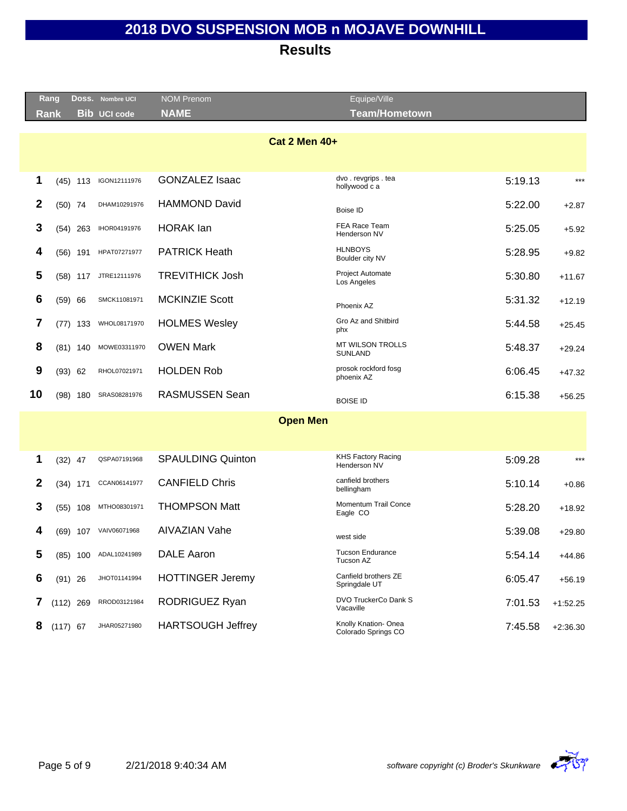#### **Results**

|    | Rang        |            | DOSS. Nombre UCI      | <b>NOM Prenom</b>        | Equipe/Ville                               |         |            |  |  |  |  |
|----|-------------|------------|-----------------------|--------------------------|--------------------------------------------|---------|------------|--|--|--|--|
|    | <b>Rank</b> |            | <b>Bib UCI code</b>   | <b>NAME</b>              | <b>Team/Hometown</b>                       |         |            |  |  |  |  |
|    |             |            |                       |                          |                                            |         |            |  |  |  |  |
|    |             |            |                       | <b>Cat 2 Men 40+</b>     |                                            |         |            |  |  |  |  |
|    |             |            |                       |                          |                                            |         |            |  |  |  |  |
| 1  |             | $(45)$ 113 | IGON12111976          | <b>GONZALEZ Isaac</b>    | dvo.revgrips.tea<br>hollywood c a          | 5:19.13 | $***$      |  |  |  |  |
| 2  | $(50)$ 74   |            | DHAM10291976          | <b>HAMMOND David</b>     | Boise ID                                   | 5:22.00 | $+2.87$    |  |  |  |  |
| 3  |             | $(54)$ 263 | IHOR04191976          | <b>HORAK</b> lan         | FEA Race Team<br>Henderson NV              | 5:25.05 | $+5.92$    |  |  |  |  |
| 4  |             | $(56)$ 191 | HPAT07271977          | <b>PATRICK Heath</b>     | <b>HLNBOYS</b><br>Boulder city NV          | 5:28.95 | $+9.82$    |  |  |  |  |
| 5  |             | $(58)$ 117 | JTRE12111976          | <b>TREVITHICK Josh</b>   | Project Automate<br>Los Angeles            | 5:30.80 | $+11.67$   |  |  |  |  |
| 6  | $(59)$ 66   |            | SMCK11081971          | <b>MCKINZIE Scott</b>    | Phoenix AZ                                 | 5:31.32 | $+12.19$   |  |  |  |  |
| 7  |             | $(77)$ 133 | WHOL08171970          | <b>HOLMES Wesley</b>     | Gro Az and Shitbird<br>phx                 | 5:44.58 | $+25.45$   |  |  |  |  |
| 8  |             | $(81)$ 140 | MOWE03311970          | <b>OWEN Mark</b>         | <b>MT WILSON TROLLS</b><br><b>SUNLAND</b>  | 5:48.37 | $+29.24$   |  |  |  |  |
| 9  | (93) 62     |            | RHOL07021971          | <b>HOLDEN Rob</b>        | prosok rockford fosg<br>phoenix AZ         | 6:06.45 | $+47.32$   |  |  |  |  |
| 10 |             | (98) 180   | SRAS08281976          | <b>RASMUSSEN Sean</b>    | <b>BOISE ID</b>                            | 6:15.38 | $+56.25$   |  |  |  |  |
|    |             |            |                       | <b>Open Men</b>          |                                            |         |            |  |  |  |  |
|    |             |            |                       |                          |                                            |         |            |  |  |  |  |
| 1  | $(32)$ 47   |            | QSPA07191968          | <b>SPAULDING Quinton</b> | KHS Factory Racing<br>Henderson NV         | 5:09.28 | $***$      |  |  |  |  |
| 2  |             | $(34)$ 171 | CCAN06141977          | <b>CANFIELD Chris</b>    | canfield brothers<br>bellingham            | 5:10.14 | $+0.86$    |  |  |  |  |
| 3  |             | $(55)$ 108 | MTHO08301971          | <b>THOMPSON Matt</b>     | Momentum Trail Conce<br>Eagle CO           | 5:28.20 | $+18.92$   |  |  |  |  |
| 4  |             | (69) 107   | VAIV06071968          | <b>AIVAZIAN Vahe</b>     | west side                                  | 5:39.08 | $+29.80$   |  |  |  |  |
| 5  |             |            | (85) 100 ADAL10241989 | DALE Aaron               | <b>Tucson Endurance</b><br>Tucson AZ       | 5:54.14 | $+44.86$   |  |  |  |  |
| 6  | $(91)$ 26   |            | JHOT01141994          | <b>HOTTINGER Jeremy</b>  | Canfield brothers ZE<br>Springdale UT      | 6:05.47 | $+56.19$   |  |  |  |  |
| 7  | $(112)$ 269 |            | RROD03121984          | RODRIGUEZ Ryan           | DVO TruckerCo Dank S<br>Vacaville          | 7:01.53 | $+1:52.25$ |  |  |  |  |
| 8  | $(117)$ 67  |            | JHAR05271980          | <b>HARTSOUGH Jeffrey</b> | Knolly Knation-Onea<br>Colorado Springs CO | 7:45.58 | $+2:36.30$ |  |  |  |  |
|    |             |            |                       |                          |                                            |         |            |  |  |  |  |



Equiper A PH 2007 (2007) 2007 (2007) 2007 (2007) 2007 (2007) 2007 (2007) 2007 (2007) 2007 (2007) 2007 (2007) 2007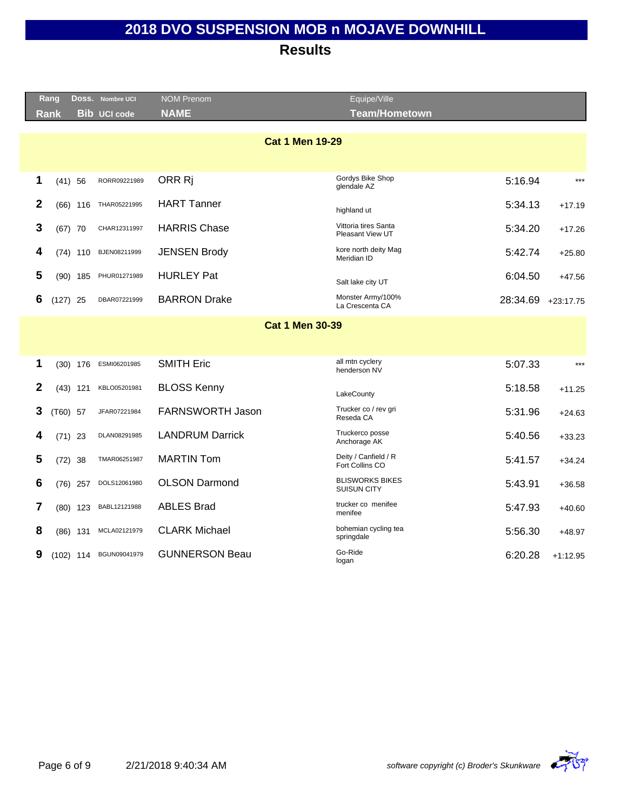|              | Rang                   |            | Doss. Nombre UCI    | <b>NOM Prenom</b>      | Equipe/Ville                                 |          |             |  |  |  |  |
|--------------|------------------------|------------|---------------------|------------------------|----------------------------------------------|----------|-------------|--|--|--|--|
|              | <b>Rank</b>            |            | <b>Bib UCI code</b> | <b>NAME</b>            | <b>Team/Hometown</b>                         |          |             |  |  |  |  |
|              |                        |            |                     |                        |                                              |          |             |  |  |  |  |
|              |                        |            |                     | <b>Cat 1 Men 19-29</b> |                                              |          |             |  |  |  |  |
|              |                        |            |                     |                        |                                              |          |             |  |  |  |  |
|              |                        |            |                     |                        | Gordys Bike Shop                             |          |             |  |  |  |  |
| 1            | $(41)$ 56              |            | RORR09221989        | ORR Ri                 | glendale AZ                                  | 5:16.94  | $***$       |  |  |  |  |
| $\mathbf{2}$ |                        | $(66)$ 116 | THAR05221995        | <b>HART Tanner</b>     | highland ut                                  | 5:34.13  | $+17.19$    |  |  |  |  |
| 3            | $(67)$ 70              |            | CHAR12311997        | <b>HARRIS Chase</b>    | Vittoria tires Santa<br>Pleasant View UT     | 5:34.20  | $+17.26$    |  |  |  |  |
| 4            |                        | $(74)$ 110 | BJEN08211999        | <b>JENSEN Brody</b>    | kore north deity Mag<br>Meridian ID          | 5:42.74  | $+25.80$    |  |  |  |  |
| 5            |                        | $(90)$ 185 | PHUR01271989        | <b>HURLEY Pat</b>      | Salt lake city UT                            | 6:04.50  | $+47.56$    |  |  |  |  |
| 6            | $(127)$ 25             |            | DBAR07221999        | <b>BARRON Drake</b>    | Monster Army/100%<br>La Crescenta CA         | 28:34.69 | $+23:17.75$ |  |  |  |  |
|              | <b>Cat 1 Men 30-39</b> |            |                     |                        |                                              |          |             |  |  |  |  |
|              |                        |            |                     |                        |                                              |          |             |  |  |  |  |
|              |                        |            |                     |                        |                                              |          |             |  |  |  |  |
| 1            |                        | $(30)$ 176 | ESMI06201985        | <b>SMITH Eric</b>      | all mtn cyclery<br>henderson NV              | 5:07.33  | $***$       |  |  |  |  |
| 2            |                        | $(43)$ 121 | KBLO05201981        | <b>BLOSS Kenny</b>     | LakeCounty                                   | 5:18.58  | $+11.25$    |  |  |  |  |
| 3            | $(T60)$ 57             |            | JFAR07221984        | FARNSWORTH Jason       | Trucker co / rev gri<br>Reseda CA            | 5:31.96  | $+24.63$    |  |  |  |  |
| 4            | $(71)$ 23              |            | DLAN08291985        | <b>LANDRUM Darrick</b> | Truckerco posse<br>Anchorage AK              | 5:40.56  | $+33.23$    |  |  |  |  |
| 5            | $(72)$ 38              |            | TMAR06251987        | <b>MARTIN Tom</b>      | Deity / Canfield / R<br>Fort Collins CO      | 5:41.57  | $+34.24$    |  |  |  |  |
| 6            |                        | $(76)$ 257 | DOLS12061980        | <b>OLSON Darmond</b>   | <b>BLISWORKS BIKES</b><br><b>SUISUN CITY</b> | 5:43.91  | $+36.58$    |  |  |  |  |
| 7            |                        | $(80)$ 123 | BABL12121988        | <b>ABLES Brad</b>      | trucker co menifee<br>menifee                | 5:47.93  | $+40.60$    |  |  |  |  |
| 8            |                        | $(86)$ 131 | MCLA02121979        | <b>CLARK Michael</b>   | bohemian cycling tea<br>springdale           | 5:56.30  | $+48.97$    |  |  |  |  |
| 9            | $(102)$ 114            |            | BGUN09041979        | <b>GUNNERSON Beau</b>  | Go-Ride<br>logan                             | 6:20.28  | $+1:12.95$  |  |  |  |  |
|              |                        |            |                     |                        |                                              |          |             |  |  |  |  |

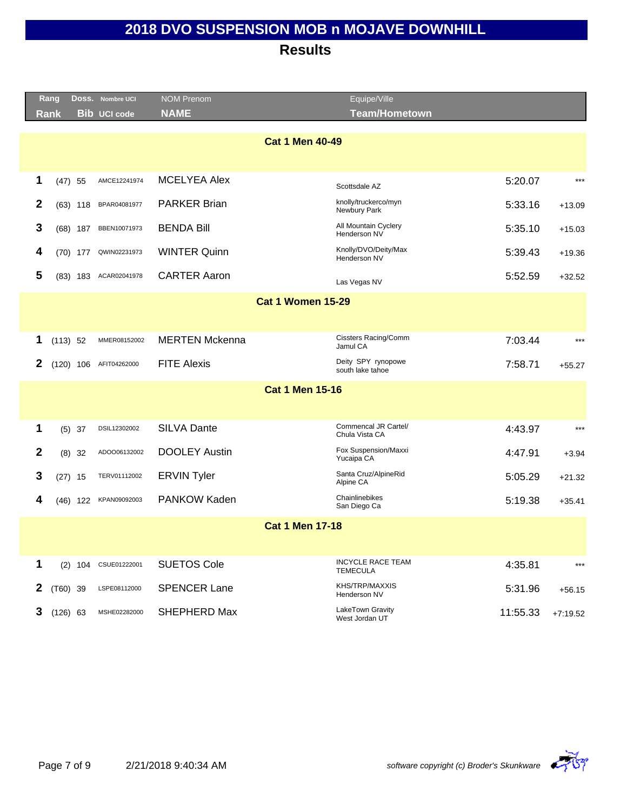|                  | Rang        |            | DOSS. Nombre UCI     | <b>NOM Prenom</b>     | Equipe/Ville                                |          |            |
|------------------|-------------|------------|----------------------|-----------------------|---------------------------------------------|----------|------------|
|                  | <b>Rank</b> |            | <b>Bib UCI code</b>  | <b>NAME</b>           | <b>Team/Hometown</b>                        |          |            |
|                  |             |            |                      |                       |                                             |          |            |
|                  |             |            |                      |                       | <b>Cat 1 Men 40-49</b>                      |          |            |
|                  |             |            |                      |                       |                                             |          |            |
| 1                | $(47)$ 55   |            | AMCE12241974         | <b>MCELYEA Alex</b>   | Scottsdale AZ                               | 5:20.07  | $***$      |
| $\boldsymbol{2}$ |             | $(63)$ 118 | BPAR04081977         | <b>PARKER Brian</b>   | knolly/truckerco/myn<br>Newbury Park        | 5:33.16  | $+13.09$   |
| 3                |             | $(68)$ 187 | BBEN10071973         | <b>BENDA Bill</b>     | All Mountain Cyclery<br>Henderson NV        | 5:35.10  | $+15.03$   |
| 4                |             | $(70)$ 177 | QWIN02231973         | <b>WINTER Quinn</b>   | Knolly/DVO/Deity/Max<br>Henderson NV        | 5:39.43  | $+19.36$   |
| 5                |             | $(83)$ 183 | ACAR02041978         | <b>CARTER Aaron</b>   | Las Vegas NV                                | 5:52.59  | $+32.52$   |
|                  |             |            |                      |                       | <b>Cat 1 Women 15-29</b>                    |          |            |
|                  |             |            |                      |                       |                                             |          |            |
|                  |             |            |                      |                       |                                             |          |            |
| 1                | (113) 52    |            | MMER08152002         | <b>MERTEN Mckenna</b> | Cissters Racing/Comm<br>Jamul CA            | 7:03.44  | $***$      |
| 2                | $(120)$ 106 |            | AFIT04262000         | <b>FITE Alexis</b>    | Deity SPY rynopowe<br>south lake tahoe      | 7:58.71  | $+55.27$   |
|                  |             |            |                      |                       | <b>Cat 1 Men 15-16</b>                      |          |            |
|                  |             |            |                      |                       |                                             |          |            |
|                  |             |            |                      |                       | Commencal JR Cartel/                        |          |            |
| 1                |             | $(5)$ 37   | DSIL12302002         | <b>SILVA Dante</b>    | Chula Vista CA                              | 4:43.97  | $***$      |
| $\mathbf{2}$     |             | $(8)$ 32   | ADOO06132002         | <b>DOOLEY Austin</b>  | Fox Suspension/Maxxi<br>Yucaipa CA          | 4:47.91  | $+3.94$    |
| 3                | $(27)$ 15   |            | TERV01112002         | <b>ERVIN Tyler</b>    | Santa Cruz/AlpineRid<br>Alpine CA           | 5:05.29  | $+21.32$   |
| 4                |             | $(46)$ 122 | KPAN09092003         | PANKOW Kaden          | Chainlinebikes<br>San Diego Ca              | 5:19.38  | $+35.41$   |
|                  |             |            |                      |                       | <b>Cat 1 Men 17-18</b>                      |          |            |
|                  |             |            |                      |                       |                                             |          |            |
|                  |             |            |                      |                       |                                             |          |            |
| 1                |             |            | (2) 104 CSUE01222001 | <b>SUETOS Cole</b>    | <b>INCYCLE RACE TEAM</b><br><b>TEMECULA</b> | 4:35.81  | $***$      |
| $\mathbf{2}$     | $(T60)$ 39  |            | LSPE08112000         | <b>SPENCER Lane</b>   | KHS/TRP/MAXXIS<br>Henderson NV              | 5:31.96  | $+56.15$   |
| 3                | $(126)$ 63  |            | MSHE02282000         | SHEPHERD Max          | LakeTown Gravity<br>West Jordan UT          | 11:55.33 | $+7:19.52$ |

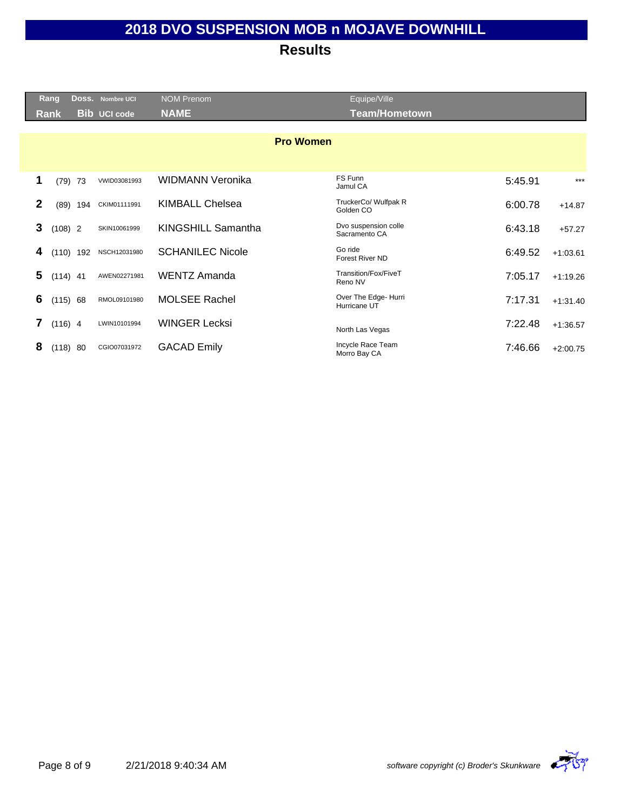| <b>Rang</b> | Doss.       | <b>Nombre UCI</b>   | <b>NOM Prenom</b>       | Equipe/Ville                          |         |            |
|-------------|-------------|---------------------|-------------------------|---------------------------------------|---------|------------|
| Rank        |             | <b>Bib UCI code</b> | <b>NAME</b>             | <b>Team/Hometown</b>                  |         |            |
|             |             |                     |                         |                                       |         |            |
|             |             |                     | <b>Pro Women</b>        |                                       |         |            |
|             |             |                     |                         |                                       |         |            |
| 1<br>(79)   | 73          | VWID03081993        | WIDMANN Veronika        | FS Funn<br>Jamul CA                   | 5:45.91 | $***$      |
| 2<br>(89)   | 194         | CKIM01111991        | <b>KIMBALL Chelsea</b>  | TruckerCo/ Wulfpak R<br>Golden CO     | 6:00.78 | $+14.87$   |
| 3           | $(108)$ 2   | SKIN10061999        | KINGSHILL Samantha      | Dvo suspension colle<br>Sacramento CA | 6:43.18 | $+57.27$   |
| 4           | $(110)$ 192 | NSCH12031980        | <b>SCHANILEC Nicole</b> | Go ride<br><b>Forest River ND</b>     | 6:49.52 | $+1:03.61$ |
| 5           | $(114)$ 41  | AWEN02271981        | <b>WENTZ Amanda</b>     | Transition/Fox/FiveT<br>Reno NV       | 7:05.17 | $+1:19.26$ |
| 6           | (115) 68    | RMOL09101980        | <b>MOLSEE Rachel</b>    | Over The Edge- Hurri<br>Hurricane UT  | 7:17.31 | $+1:31.40$ |
| 7           | $(116)$ 4   | LWIN10101994        | <b>WINGER Lecksi</b>    | North Las Vegas                       | 7:22.48 | $+1:36.57$ |
| 8           | (118) 80    | CGIO07031972        | <b>GACAD Emily</b>      | Incycle Race Team<br>Morro Bay CA     | 7:46.66 | $+2:00.75$ |